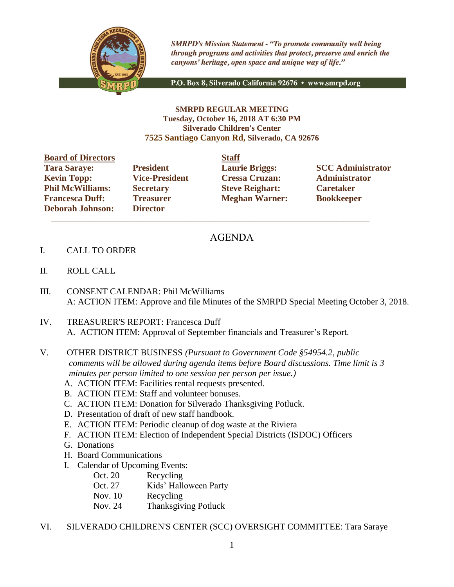

**SMRPD's Mission Statement - "To promote community well being** through programs and activities that protect, preserve and enrich the canyons' heritage, open space and unique way of life."

P.O. Box 8, Silverado California 92676 · www.smrpd.org

## **SMRPD REGULAR MEETING Tuesday, October 16, 2018 AT 6:30 PM Silverado Children's Center 7525 Santiago Canyon Rd, Silverado, CA 92676**

**Board of Directors Staff Tara Saraye: President Laurie Briggs: SCC Administrator Kevin Topp: Vice-President Cressa Cruzan: Administrator Phil McWilliams: Secretary Steve Reighart: Caretaker Francesca Duff: Treasurer Meghan Warner: Bookkeeper Deborah Johnson: Director**

 $\overline{\phantom{a}}$  ,  $\overline{\phantom{a}}$  ,  $\overline{\phantom{a}}$  ,  $\overline{\phantom{a}}$  ,  $\overline{\phantom{a}}$  ,  $\overline{\phantom{a}}$  ,  $\overline{\phantom{a}}$  ,  $\overline{\phantom{a}}$  ,  $\overline{\phantom{a}}$  ,  $\overline{\phantom{a}}$  ,  $\overline{\phantom{a}}$  ,  $\overline{\phantom{a}}$  ,  $\overline{\phantom{a}}$  ,  $\overline{\phantom{a}}$  ,  $\overline{\phantom{a}}$  ,  $\overline{\phantom{a}}$ 

## AGENDA

- I. CALL TO ORDER
- II. ROLL CALL
- III. CONSENT CALENDAR: Phil McWilliams A: ACTION ITEM: Approve and file Minutes of the SMRPD Special Meeting October 3, 2018.
- IV. TREASURER'S REPORT: Francesca Duff A. ACTION ITEM: Approval of September financials and Treasurer's Report.
- V. OTHER DISTRICT BUSINESS *(Pursuant to Government Code §54954.2, public comments will be allowed during agenda items before Board discussions. Time limit is 3 minutes per person limited to one session per person per issue.)*
	- A. ACTION ITEM: Facilities rental requests presented.
	- B. ACTION ITEM: Staff and volunteer bonuses.
	- C. ACTION ITEM: Donation for Silverado Thanksgiving Potluck.
	- D. Presentation of draft of new staff handbook.
	- E. ACTION ITEM: Periodic cleanup of dog waste at the Riviera
	- F. ACTION ITEM: Election of Independent Special Districts (ISDOC) Officers
	- G. Donations
	- H. Board Communications
	- I. Calendar of Upcoming Events:
		- Oct. 20 Recycling
		- Oct. 27 Kids' Halloween Party
		- Nov. 10 Recycling
		- Nov. 24 Thanksgiving Potluck
- VI. SILVERADO CHILDREN'S CENTER (SCC) OVERSIGHT COMMITTEE: Tara Saraye